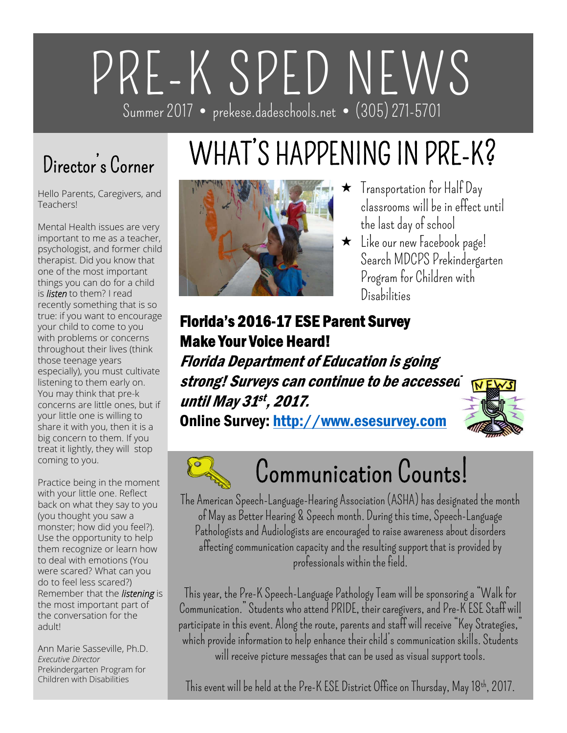# PRE-K SPED NEWS Summer 2017 • prekese.dadeschools.net • (305) 271-5701

### Director's Corner

Hello Parents, Caregivers, and Teachers!

Mental Health issues are very important to me as a teacher, psychologist, and former child therapist. Did you know that one of the most important things you can do for a child is *listen* to them? I read recently something that is so true: if you want to encourage your child to come to you with problems or concerns throughout their lives (think those teenage years especially), you must cultivate listening to them early on. You may think that pre-k concerns are little ones, but if your little one is willing to share it with you, then it is a big concern to them. If you treat it lightly, they will stop coming to you.

Practice being in the moment with your little one. Reflect back on what they say to you (you thought you saw a monster; how did you feel?). Use the opportunity to help them recognize or learn how to deal with emotions (You were scared? What can you do to feel less scared?) Remember that the *listening* is the most important part of the conversation for the adult!

Ann Marie Sasseville, Ph.D. *Executive Director* Prekindergarten Program for Children with Disabilities

# WHAT'S HAPPENING IN PRE-K?



- Transportation for Half Day classrooms will be in effect until the last day of school
- Like our new Facebook page! Search MDCPS Prekindergarten Program for Children with Disabilities

#### Florida's 2016-17 ESE Parent Survey Make Your Voice Heard!

Florida Department of Education is going strong! Surveys can continue to be accessed WEW until May 31st, 2017.

Online Survey: http://www.esesurvey.com





# Communication Counts!

The American Speech-Language-Hearing Association (ASHA) has designated the month of May as Better Hearing & Speech month. During this time, Speech-Language Pathologists and Audiologists are encouraged to raise awareness about disorders affecting communication capacity and the resulting support that is provided by professionals within the field.

This year, the Pre-K Speech-Language Pathology Team will be sponsoring a "Walk for Communication." Students who attend PRIDE, their caregivers, and Pre-K ESE Staff will participate in this event. Along the route, parents and staff will receive "Key Strategies," which provide information to help enhance their child's communication skills. Students will receive picture messages that can be used as visual support tools.

This event will be held at the Pre-K ESE District Office on Thursday, May 18th, 2017.